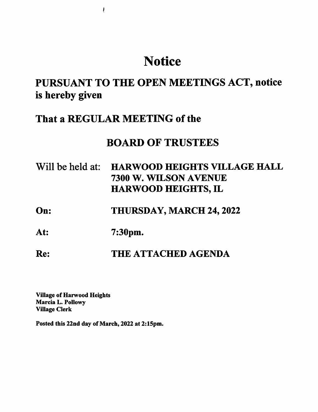# **Notice**

# PURSUANT TO THE OPEN MEETINGS ACT, notice is hereby given

### That a REGULAR MEETING of the

 $\pmb{\mathfrak{f}}$ 

## BOARD OF TRUSTEES

| Will be held at: HARWOOD HEIGHTS VILLAGE HALL |
|-----------------------------------------------|
| 7300 W. WILSON AVENUE                         |
| <b>HARWOOD HEIGHTS, IL</b>                    |

### On: THURSDAY, MARCH 24, 2022

At: 7:30pm.

### Re: THE ATTACHED AGENDA

Village of Harwood Heights Marcia L. Pollowy Village Clerk

Posted this 22nd day of March, 2022 at 2:15pm.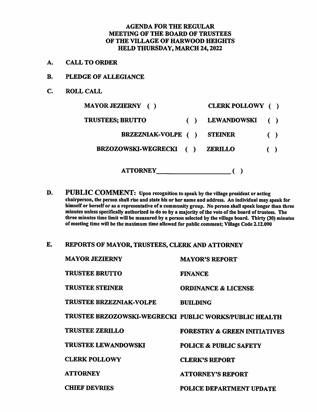#### AGENDA FOR THE REGULAR MEETING OF THE BOARD OF TRUSTEES OF THE VILLAGE OF HARWOOD HEIGHTS HELD THURSDAY, MARCH 24,2022

- A. CALL TO ORDER
- B. PLEDGE OF ALLEGIANCE
- C. ROLL CALL

| <b>MAYOR JEZIERNY</b> ()                             | CLERK POLLOWY ()   |                        |                        |
|------------------------------------------------------|--------------------|------------------------|------------------------|
| <b>TRUSTEES; BRUTTO</b>                              | <b>LEWANDOWSKI</b> |                        | $\left( \quad \right)$ |
| <b>BRZEZNIAK-VOLPE</b> ()                            | <b>STEINER</b>     | $\left( \quad \right)$ |                        |
| <b>BRZOZOWSKI-WEGRECKI</b><br>$\left( \quad \right)$ | <b>ZERILLO</b>     | $\left( \quad \right)$ |                        |
| <b>ATTORNEY</b>                                      |                    |                        |                        |

- D. PUBLIC COMMENT: Upon recognition to speak by the village president or acting chairperson, the person shall rise and state his or her name and address. An individual may speak for himself or herself or as a representative of a community group. No person shall speak longer than three minutes unless specifically authorized to do so by a majority of the vote of the board of trustees. The three minutes time limit will be measured by a person selected by the village board. Thirty (30) minutes of meeting time will be the maximum time allowed for public comment; Village Code 2.12.090
- E. REPORTS OF MAYOR, TRUSTEES, CLERK AND ATTORNEY

| <b>MAYOR JEZIERNY</b>                                  | <b>MAYOR'S REPORT</b>                   |
|--------------------------------------------------------|-----------------------------------------|
| <b>TRUSTEE BRUTTO</b>                                  | <b>FINANCE</b>                          |
| TRUSTEE STEINER                                        | <b>ORDINANCE &amp; LICENSE</b>          |
| <b>TRUSTEE BRZEZNIAK-VOLPE</b>                         | <b>BUILDING</b>                         |
| TRUSTEE BRZOZOWSKI-WEGRECKI PUBLIC WORKS/PUBLIC HEALTH |                                         |
| <b>TRUSTEE ZERILLO</b>                                 | <b>FORESTRY &amp; GREEN INITIATIVES</b> |
| <b>TRUSTEE LEWANDOWSKI</b>                             | <b>POLICE &amp; PUBLIC SAFETY</b>       |
| <b>CLERK POLLOWY</b>                                   | <b>CLERK'S REPORT</b>                   |
| <b>ATTORNEY</b>                                        | <b>ATTORNEY'S REPORT</b>                |
| <b>CHIEF DEVRIES</b>                                   | <b>POLICE DEPARTMENT UPDATE</b>         |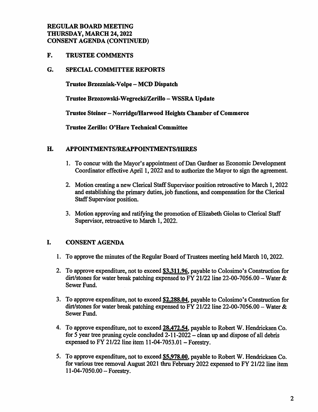#### REGULAR BOARD MEETING THURSDAY, MARCH 24,2022 CONSENT AGENDA (CONTINUED)

F. TRUSTEE COMMENTS

#### G. SPECIAL COMMITTEE REPORTS

Trustee Brzezniak-Volpe - MCD Dispatch

Trustee Brzozowski-Wegrecki/Zerillo - WSSRA Update

Trustee Steiner - Norridge/Harwood Heights Chamber of Commerce

Trustee Zerillo: O'Hare Technical Committee

#### H. APPOINTMENTS/REAPPOINTMENTS/HIRES

- 1. To concur with the Mayor's appointment of Dan Gardner as Economic Development Coordinator effective April 1, 2022 and to authorize the Mayor to sign the agreement.
- 2. Motion creating a new Clerical Staff Supervisor position retroactive to March 1,2022 and establishing the primary duties, job functions, and compensation for the Clerical Staff Supervisor position.
- 3. Motion approving and ratifying the promotion of Elizabeth Giolas to Clerical Staff Supervisor, retroactive to March 1, 2022.

#### I. CONSENT AGENDA

- 1. To approve the minutes of the Regular Board of Trustees meeting held March 10,2022.
- 2. To approve expenditure, not to exceed \$3,311.96. payable to Colosimo's Construction for dirt/stones for water break patching expensed to FY 21/22 line 22-00-7056.00 – Water  $\&$ Sewer Fund.
- 3. To approve expenditure, not to exceed \$2,288.04. payable to Colosimo's Construction for dirt/stones for water break patching expensed to FY 21/22 line 22-00-7056.00 – Water  $\&$ Sewer Fund.
- 4. To approve expenditure, not to exceed 28,472.54, payable to Robert W. Hendricksen Co. for 5 year tree pruning cycle concluded  $2-11-2022$  – clean up and dispose of all debris expensed to FY 21/22 line item  $11-04-7053.01$  - Forestry.
- 5. To approve expenditure, not to exceed \$5,978.00, payable to Robert W. Hendricksen Co. for various tree removal August 2021 thru February 2022 expensed to FY 21/22 line item 11-04-7050.00 — Forestry.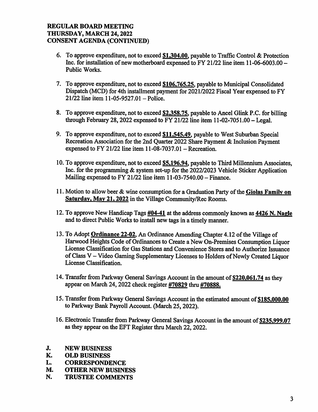#### REGULAR BOARD MEETING THURSDAY, MARCH 24,2022 CONSENT AGENDA (CONTINUED)

- 6. To approve expenditure, not to exceed  $$1,304.00$ , payable to Traffic Control & Protection Inc. for installation of new motherboard expensed to FY 21/22 line item 11-06-6003.00 -Public Works.
- 7. To approve expenditure, not to exceed \$106.765.25. payable to Municipal Consolidated Dispatch (MCD) for 4th installment payment for 2021/2022 Fiscal Year expensed to FY  $21/22$  line item 11-05-9527.01 – Police.
- 8. To approve expenditure, not to exceed \$2,358.75, payable to Ancel Glink P.C. for billing through February 28, 2022 expensed to FY 21/22 line item  $11-02-7051.00$  - Legal.
- 9. To approve expenditure, not to exceed \$11,545.49, payable to West Suburban Special Recreation Association for the 2nd Quarter 2022 Share Payment & Inclusion Payment expensed to FY 21/22 line item  $11-08-7037.01$  - Recreation.
- 10. To approve expenditure, not to exceed \$5.196.94. payable to Third Millennium Associates, Inc. for the programming & system set-up for the 2022/2023 Vehicle Sticker Application Mailing expensed to FY 21/22 line item 11-03-7540.00 - Finance.
- 11. Motion to allow beer & wine consumption for a Graduation Party of the Giolas Family on Saturday, May 21, 2022 in the Village Community/Rec Rooms.
- 12. To approve New Handicap Tags  $\frac{\text{#04-41}}{2}$  at the address commonly known as  $\frac{\text{4426 N. Nagle}{2}}{2}$ and to direct Public Works to install new tags in a timely manner.
- 13. To Adopt Ordinance 22-02, An Ordinance Amending Chapter 4.12 of the Village of Harwood Heights Code of Ordinances to Create a New On-Premises Consumption Liquor License Classification for Gas Stations and Convenience Stores and to Authorize Issuance of Class V - Video Gaming Supplementary Licenses to Holders of Newly Created Liquor License Classification.
- 14. Transfer from Parkway General Savings Account in the amount of \$220,061.74 as they appear on March 24,2022 check register #70829 thru #70888.
- 15. Transfer firom Parkway General Savings Account in the estimated amount of \$185.000.00 to Parkway Bank Payroll Account. (March 25,2022).
- 16. Electronic Transfer from Parkway General Savings Account in the amount of \$235,999.07 as they appear on the EFT Register thru March 22,2022.
- J. NEW BUSINESS<br>K. OLD BUSINESS
- K. OLD BUSINESS<br>L. CORRESPONDE
- **CORRESPONDENCE**
- M. OTHER NEW BUSINESS
- N. TRUSTEE COMMENTS